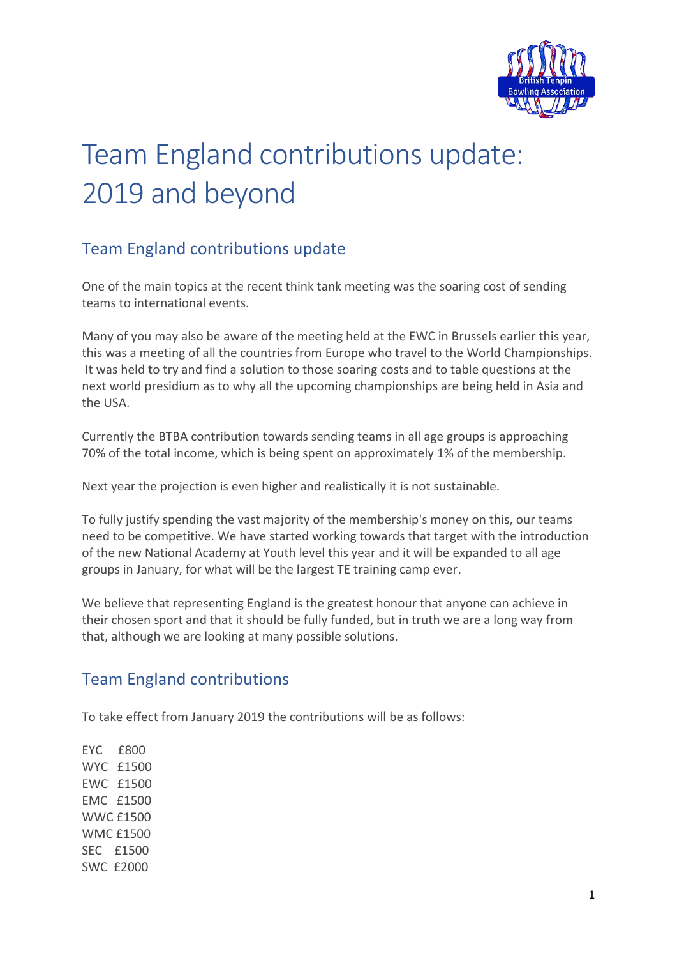

# Team England contributions update: 2019 and beyond

# Team England contributions update

One of the main topics at the recent think tank meeting was the soaring cost of sending teams to international events.

Many of you may also be aware of the meeting held at the EWC in Brussels earlier this year, this was a meeting of all the countries from Europe who travel to the World Championships. It was held to try and find a solution to those soaring costs and to table questions at the next world presidium as to why all the upcoming championships are being held in Asia and the USA.

Currently the BTBA contribution towards sending teams in all age groups is approaching 70% of the total income, which is being spent on approximately 1% of the membership.

Next year the projection is even higher and realistically it is not sustainable.

To fully justify spending the vast majority of the membership's money on this, our teams need to be competitive. We have started working towards that target with the introduction of the new National Academy at Youth level this year and it will be expanded to all age groups in January, for what will be the largest TE training camp ever.

We believe that representing England is the greatest honour that anyone can achieve in their chosen sport and that it should be fully funded, but in truth we are a long way from that, although we are looking at many possible solutions.

### Team England contributions

To take effect from January 2019 the contributions will be as follows:

EYC £800 WYC £1500 EWC £1500 EMC £1500 WWC £1500 WMC £1500 SEC £1500 SWC £2000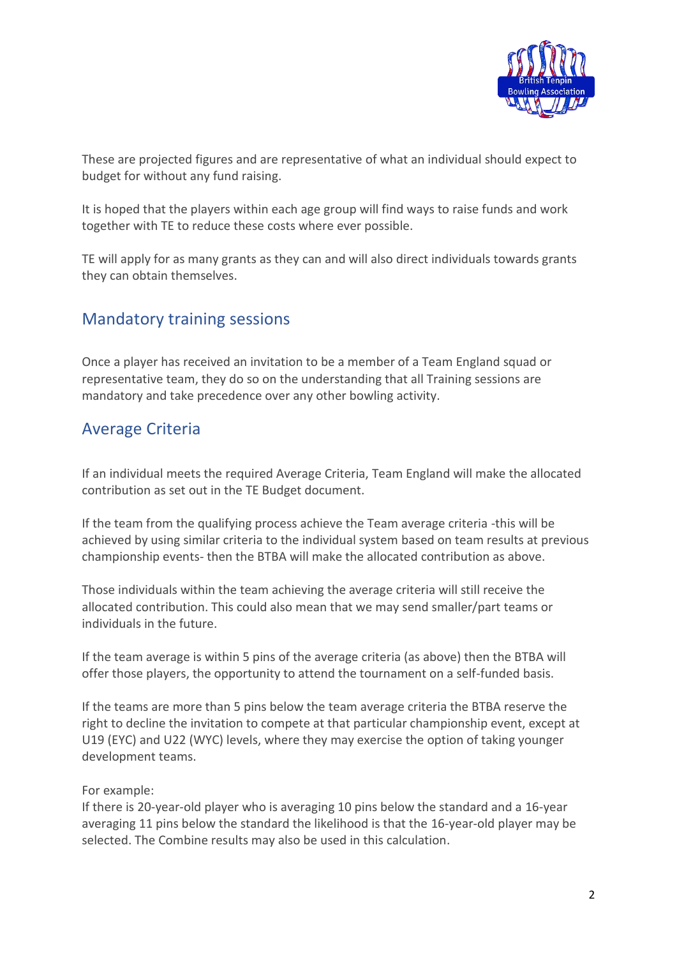

These are projected figures and are representative of what an individual should expect to budget for without any fund raising.

It is hoped that the players within each age group will find ways to raise funds and work together with TE to reduce these costs where ever possible.

TE will apply for as many grants as they can and will also direct individuals towards grants they can obtain themselves.

#### Mandatory training sessions

Once a player has received an invitation to be a member of a Team England squad or representative team, they do so on the understanding that all Training sessions are mandatory and take precedence over any other bowling activity.

### Average Criteria

If an individual meets the required Average Criteria, Team England will make the allocated contribution as set out in the TE Budget document.

If the team from the qualifying process achieve the Team average criteria -this will be achieved by using similar criteria to the individual system based on team results at previous championship events- then the BTBA will make the allocated contribution as above.

Those individuals within the team achieving the average criteria will still receive the allocated contribution. This could also mean that we may send smaller/part teams or individuals in the future.

If the team average is within 5 pins of the average criteria (as above) then the BTBA will offer those players, the opportunity to attend the tournament on a self-funded basis.

If the teams are more than 5 pins below the team average criteria the BTBA reserve the right to decline the invitation to compete at that particular championship event, except at U19 (EYC) and U22 (WYC) levels, where they may exercise the option of taking younger development teams.

#### For example:

If there is 20-year-old player who is averaging 10 pins below the standard and a 16-year averaging 11 pins below the standard the likelihood is that the 16-year-old player may be selected. The Combine results may also be used in this calculation.